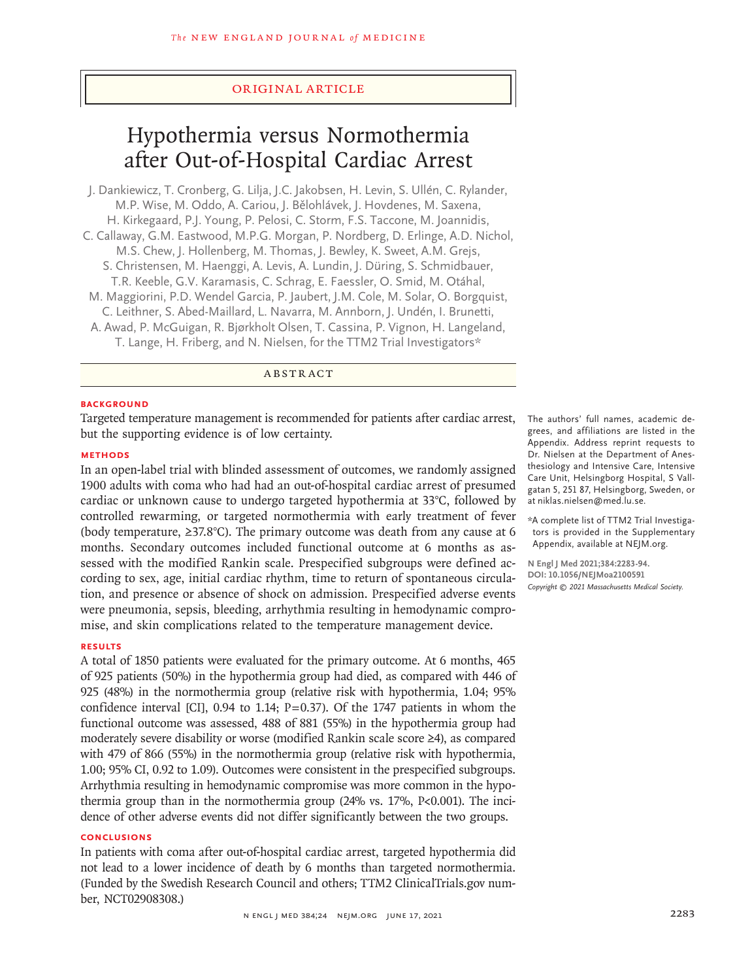# Original Article

# Hypothermia versus Normothermia after Out-of-Hospital Cardiac Arrest

J. Dankiewicz, T. Cronberg, G. Lilja, J.C. Jakobsen, H. Levin, S. Ullén, C. Rylander, M.P. Wise, M. Oddo, A. Cariou, J. Bělohlávek, J. Hovdenes, M. Saxena, H. Kirkegaard, P.J. Young, P. Pelosi, C. Storm, F.S. Taccone, M. Joannidis, C. Callaway, G.M. Eastwood, M.P.G. Morgan, P. Nordberg, D. Erlinge, A.D. Nichol, M.S. Chew, J. Hollenberg, M. Thomas, J. Bewley, K. Sweet, A.M. Grejs, S. Christensen, M. Haenggi, A. Levis, A. Lundin, J. Düring, S. Schmidbauer, T.R. Keeble, G.V. Karamasis, C. Schrag, E. Faessler, O. Smid, M. Otáhal, M. Maggiorini, P.D. Wendel Garcia, P. Jaubert, J.M. Cole, M. Solar, O. Borgquist, C. Leithner, S. Abed‑Maillard, L. Navarra, M. Annborn, J. Undén, I. Brunetti, A. Awad, P. McGuigan, R. Bjørkholt Olsen, T. Cassina, P. Vignon, H. Langeland, T. Lange, H. Friberg, and N. Nielsen, for the TTM2 Trial Investigators\*

# ABSTRACT

# **BACKGROUND**

Targeted temperature management is recommended for patients after cardiac arrest, but the supporting evidence is of low certainty.

#### **METHODS**

In an open-label trial with blinded assessment of outcomes, we randomly assigned 1900 adults with coma who had had an out-of-hospital cardiac arrest of presumed cardiac or unknown cause to undergo targeted hypothermia at 33°C, followed by controlled rewarming, or targeted normothermia with early treatment of fever (body temperature,  $\geq 37.8^{\circ}$ C). The primary outcome was death from any cause at 6 months. Secondary outcomes included functional outcome at 6 months as assessed with the modified Rankin scale. Prespecified subgroups were defined according to sex, age, initial cardiac rhythm, time to return of spontaneous circulation, and presence or absence of shock on admission. Prespecified adverse events were pneumonia, sepsis, bleeding, arrhythmia resulting in hemodynamic compromise, and skin complications related to the temperature management device.

#### **RESULTS**

A total of 1850 patients were evaluated for the primary outcome. At 6 months, 465 of 925 patients (50%) in the hypothermia group had died, as compared with 446 of 925 (48%) in the normothermia group (relative risk with hypothermia, 1.04; 95% confidence interval [CI], 0.94 to 1.14;  $P=0.37$ ). Of the 1747 patients in whom the functional outcome was assessed, 488 of 881 (55%) in the hypothermia group had moderately severe disability or worse (modified Rankin scale score ≥4), as compared with 479 of 866 (55%) in the normothermia group (relative risk with hypothermia, 1.00; 95% CI, 0.92 to 1.09). Outcomes were consistent in the prespecified subgroups. Arrhythmia resulting in hemodynamic compromise was more common in the hypothermia group than in the normothermia group (24% vs. 17%, P<0.001). The incidence of other adverse events did not differ significantly between the two groups.

### **CONCLUSIONS**

In patients with coma after out-of-hospital cardiac arrest, targeted hypothermia did not lead to a lower incidence of death by 6 months than targeted normothermia. (Funded by the Swedish Research Council and others; TTM2 ClinicalTrials.gov number, NCT02908308.)

The authors' full names, academic degrees, and affiliations are listed in the Appendix. Address reprint requests to Dr. Nielsen at the Department of Anesthesiology and Intensive Care, Intensive Care Unit, Helsingborg Hospital, S Vall‑ gatan 5, 251 87, Helsingborg, Sweden, or at niklas.nielsen@med.lu.se.

\*A complete list of TTM2 Trial Investiga‑ tors is provided in the Supplementary Appendix, available at NEJM.org.

**N Engl J Med 2021;384:2283-94. DOI: 10.1056/NEJMoa2100591** *Copyright © 2021 Massachusetts Medical Society.*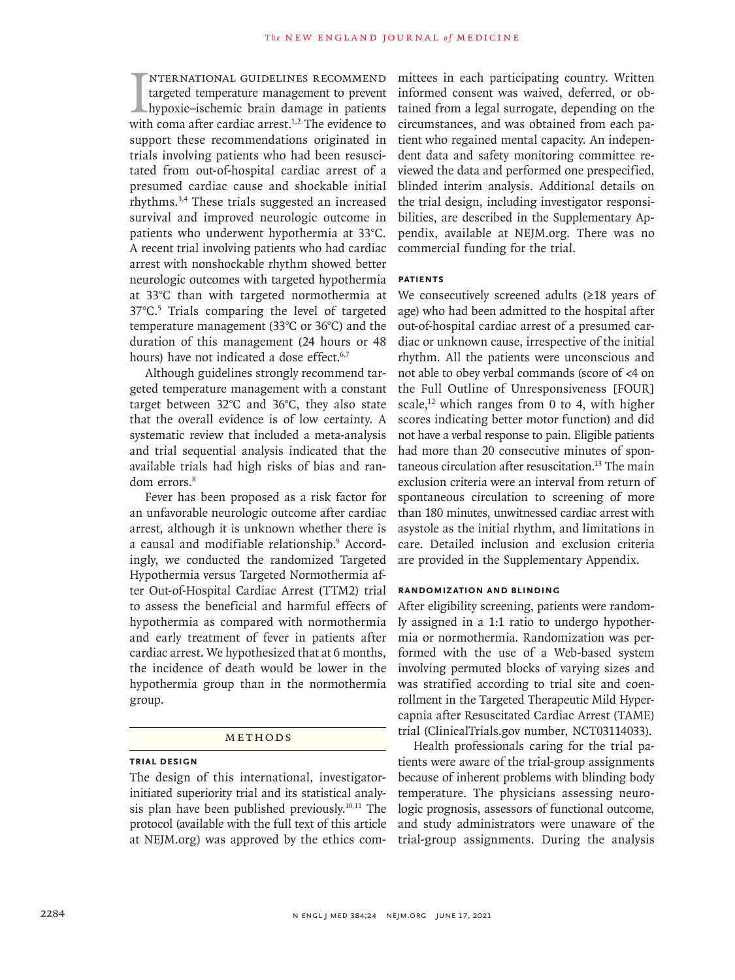I<br>with nternational guidelines recommend targeted temperature management to prevent hypoxic–ischemic brain damage in patients with coma after cardiac arrest.<sup>1,2</sup> The evidence to support these recommendations originated in trials involving patients who had been resuscitated from out-of-hospital cardiac arrest of a presumed cardiac cause and shockable initial rhythms.3,4 These trials suggested an increased survival and improved neurologic outcome in patients who underwent hypothermia at 33°C. A recent trial involving patients who had cardiac arrest with nonshockable rhythm showed better neurologic outcomes with targeted hypothermia at 33°C than with targeted normothermia at 37°C.5 Trials comparing the level of targeted temperature management (33°C or 36°C) and the duration of this management (24 hours or 48 hours) have not indicated a dose effect.<sup>6,7</sup>

Although guidelines strongly recommend targeted temperature management with a constant target between 32°C and 36°C, they also state that the overall evidence is of low certainty. A systematic review that included a meta-analysis and trial sequential analysis indicated that the available trials had high risks of bias and random errors.<sup>8</sup>

Fever has been proposed as a risk factor for an unfavorable neurologic outcome after cardiac arrest, although it is unknown whether there is a causal and modifiable relationship.9 Accordingly, we conducted the randomized Targeted Hypothermia versus Targeted Normothermia after Out-of-Hospital Cardiac Arrest (TTM2) trial to assess the beneficial and harmful effects of hypothermia as compared with normothermia and early treatment of fever in patients after cardiac arrest. We hypothesized that at 6 months, the incidence of death would be lower in the hypothermia group than in the normothermia group.

#### Methods

# **Trial Design**

The design of this international, investigatorinitiated superiority trial and its statistical analysis plan have been published previously. $10,11$  The protocol (available with the full text of this article at NEJM.org) was approved by the ethics committees in each participating country. Written informed consent was waived, deferred, or obtained from a legal surrogate, depending on the circumstances, and was obtained from each patient who regained mental capacity. An independent data and safety monitoring committee reviewed the data and performed one prespecified, blinded interim analysis. Additional details on the trial design, including investigator responsibilities, are described in the Supplementary Appendix, available at NEJM.org. There was no commercial funding for the trial.

## **Patients**

We consecutively screened adults (≥18 years of age) who had been admitted to the hospital after out-of-hospital cardiac arrest of a presumed cardiac or unknown cause, irrespective of the initial rhythm. All the patients were unconscious and not able to obey verbal commands (score of <4 on the Full Outline of Unresponsiveness [FOUR] scale,<sup>12</sup> which ranges from 0 to 4, with higher scores indicating better motor function) and did not have a verbal response to pain. Eligible patients had more than 20 consecutive minutes of spontaneous circulation after resuscitation.13 The main exclusion criteria were an interval from return of spontaneous circulation to screening of more than 180 minutes, unwitnessed cardiac arrest with asystole as the initial rhythm, and limitations in care. Detailed inclusion and exclusion criteria are provided in the Supplementary Appendix.

### **Randomization and Blinding**

After eligibility screening, patients were randomly assigned in a 1:1 ratio to undergo hypothermia or normothermia. Randomization was performed with the use of a Web-based system involving permuted blocks of varying sizes and was stratified according to trial site and coenrollment in the Targeted Therapeutic Mild Hypercapnia after Resuscitated Cardiac Arrest (TAME) trial (ClinicalTrials.gov number, NCT03114033).

Health professionals caring for the trial patients were aware of the trial-group assignments because of inherent problems with blinding body temperature. The physicians assessing neurologic prognosis, assessors of functional outcome, and study administrators were unaware of the trial-group assignments. During the analysis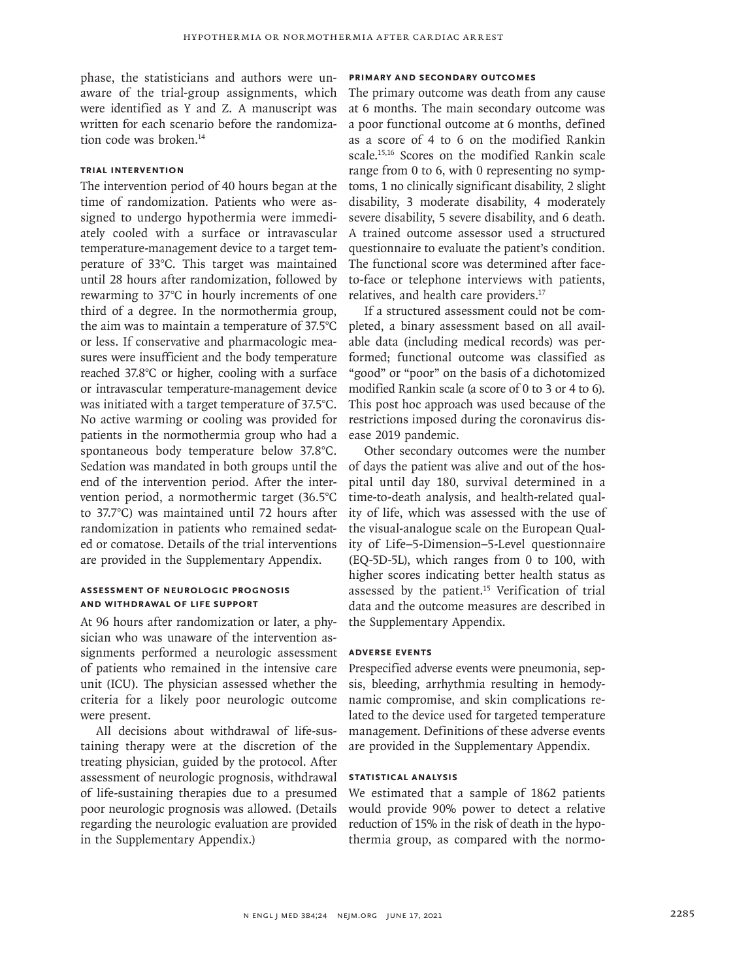phase, the statisticians and authors were unaware of the trial-group assignments, which were identified as Y and Z. A manuscript was written for each scenario before the randomization code was broken.<sup>14</sup>

# **Trial Intervention**

The intervention period of 40 hours began at the time of randomization. Patients who were assigned to undergo hypothermia were immediately cooled with a surface or intravascular temperature-management device to a target temperature of 33°C. This target was maintained until 28 hours after randomization, followed by rewarming to 37°C in hourly increments of one third of a degree. In the normothermia group, the aim was to maintain a temperature of 37.5°C or less. If conservative and pharmacologic measures were insufficient and the body temperature reached 37.8°C or higher, cooling with a surface or intravascular temperature-management device was initiated with a target temperature of 37.5°C. No active warming or cooling was provided for patients in the normothermia group who had a spontaneous body temperature below 37.8°C. Sedation was mandated in both groups until the end of the intervention period. After the intervention period, a normothermic target (36.5°C to 37.7°C) was maintained until 72 hours after randomization in patients who remained sedated or comatose. Details of the trial interventions are provided in the Supplementary Appendix.

# **Assessment of Neurologic Prognosis and Withdrawal of Life Support**

At 96 hours after randomization or later, a physician who was unaware of the intervention assignments performed a neurologic assessment of patients who remained in the intensive care unit (ICU). The physician assessed whether the criteria for a likely poor neurologic outcome were present.

All decisions about withdrawal of life-sustaining therapy were at the discretion of the treating physician, guided by the protocol. After assessment of neurologic prognosis, withdrawal of life-sustaining therapies due to a presumed poor neurologic prognosis was allowed. (Details regarding the neurologic evaluation are provided in the Supplementary Appendix.)

# **Primary and Secondary Outcomes**

The primary outcome was death from any cause at 6 months. The main secondary outcome was a poor functional outcome at 6 months, defined as a score of 4 to 6 on the modified Rankin scale.15,16 Scores on the modified Rankin scale range from 0 to 6, with 0 representing no symptoms, 1 no clinically significant disability, 2 slight disability, 3 moderate disability, 4 moderately severe disability, 5 severe disability, and 6 death. A trained outcome assessor used a structured questionnaire to evaluate the patient's condition. The functional score was determined after faceto-face or telephone interviews with patients, relatives, and health care providers.<sup>17</sup>

If a structured assessment could not be completed, a binary assessment based on all available data (including medical records) was performed; functional outcome was classified as "good" or "poor" on the basis of a dichotomized modified Rankin scale (a score of 0 to 3 or 4 to 6). This post hoc approach was used because of the restrictions imposed during the coronavirus disease 2019 pandemic.

Other secondary outcomes were the number of days the patient was alive and out of the hospital until day 180, survival determined in a time-to-death analysis, and health-related quality of life, which was assessed with the use of the visual-analogue scale on the European Quality of Life–5-Dimension–5-Level questionnaire (EQ-5D-5L), which ranges from 0 to 100, with higher scores indicating better health status as assessed by the patient.<sup>15</sup> Verification of trial data and the outcome measures are described in the Supplementary Appendix.

# **Adverse Events**

Prespecified adverse events were pneumonia, sepsis, bleeding, arrhythmia resulting in hemodynamic compromise, and skin complications related to the device used for targeted temperature management. Definitions of these adverse events are provided in the Supplementary Appendix.

### **Statistical Analysis**

We estimated that a sample of 1862 patients would provide 90% power to detect a relative reduction of 15% in the risk of death in the hypothermia group, as compared with the normo-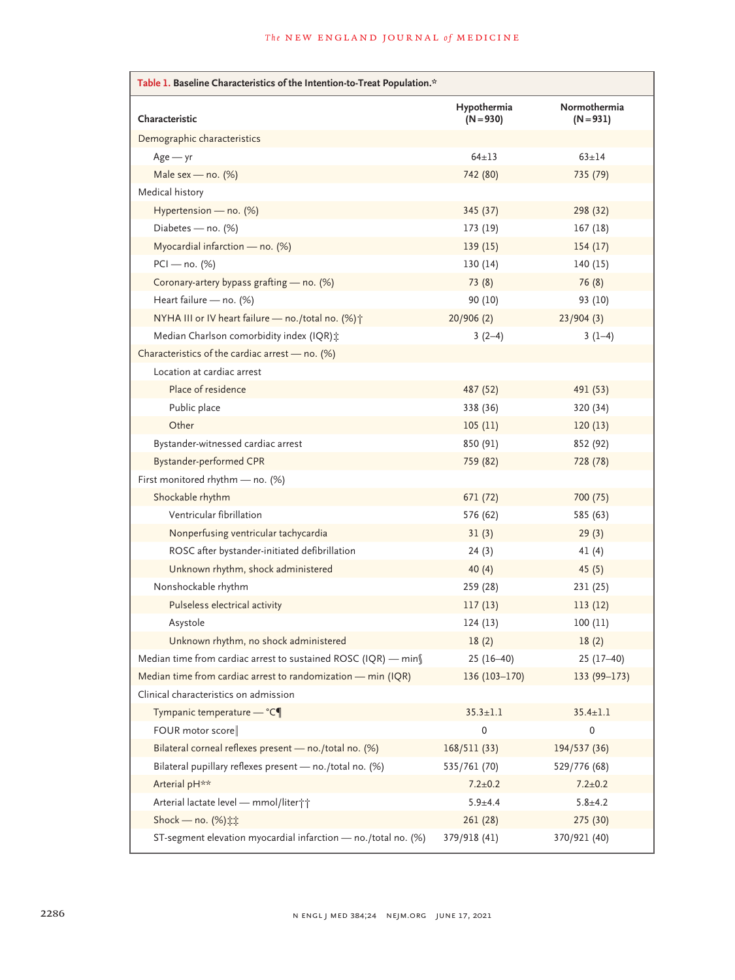| Table 1. Baseline Characteristics of the Intention-to-Treat Population.* |                            |                             |  |  |  |
|--------------------------------------------------------------------------|----------------------------|-----------------------------|--|--|--|
| Characteristic                                                           | Hypothermia<br>$(N = 930)$ | Normothermia<br>$(N = 931)$ |  |  |  |
| Demographic characteristics                                              |                            |                             |  |  |  |
| $Age - yr$                                                               | $64 + 13$                  | $63 + 14$                   |  |  |  |
| Male sex - no. $(\%)$                                                    | 742 (80)                   | 735 (79)                    |  |  |  |
| Medical history                                                          |                            |                             |  |  |  |
| Hypertension - no. (%)                                                   | 345 (37)                   | 298 (32)                    |  |  |  |
| Diabetes - no. (%)                                                       | 173 (19)                   | 167 (18)                    |  |  |  |
| Myocardial infarction — no. $(%)$                                        | 139(15)                    | 154(17)                     |  |  |  |
| $PCI - no. (%)$                                                          | 130(14)                    | 140 (15)                    |  |  |  |
| Coronary-artery bypass grafting - no. (%)                                | 73(8)                      | 76 (8)                      |  |  |  |
| Heart failure - no. (%)                                                  | 90 (10)                    | 93 (10)                     |  |  |  |
| NYHA III or IV heart failure - no./total no. (%) +                       | 20/906(2)                  | 23/904(3)                   |  |  |  |
| Median Charlson comorbidity index (IQR) ::                               | $3(2-4)$                   | $3(1-4)$                    |  |  |  |
| Characteristics of the cardiac arrest - no. (%)                          |                            |                             |  |  |  |
| Location at cardiac arrest                                               |                            |                             |  |  |  |
| Place of residence                                                       | 487 (52)                   | 491 (53)                    |  |  |  |
| Public place                                                             | 338 (36)                   | 320 (34)                    |  |  |  |
| Other                                                                    | 105(11)                    | 120(13)                     |  |  |  |
| Bystander-witnessed cardiac arrest                                       | 850 (91)                   | 852 (92)                    |  |  |  |
| Bystander-performed CPR                                                  | 759 (82)                   | 728 (78)                    |  |  |  |
| First monitored rhythm - no. (%)                                         |                            |                             |  |  |  |
| Shockable rhythm                                                         | 671 (72)                   | 700 (75)                    |  |  |  |
| Ventricular fibrillation                                                 | 576 (62)                   | 585 (63)                    |  |  |  |
| Nonperfusing ventricular tachycardia                                     | 31(3)                      | 29(3)                       |  |  |  |
| ROSC after bystander-initiated defibrillation                            | 24(3)                      | 41(4)                       |  |  |  |
| Unknown rhythm, shock administered                                       | 40(4)                      | 45(5)                       |  |  |  |
| Nonshockable rhythm                                                      | 259 (28)                   | 231 (25)                    |  |  |  |
| Pulseless electrical activity                                            | 117(13)                    | 113(12)                     |  |  |  |
| Asystole                                                                 | 124(13)                    | 100(11)                     |  |  |  |
| Unknown rhythm, no shock administered                                    | 18(2)                      | 18(2)                       |  |  |  |
| Median time from cardiac arrest to sustained ROSC (IQR) — min $\int$     | $25(16-40)$                | $25(17-40)$                 |  |  |  |
| Median time from cardiac arrest to randomization - min (IQR)             | 136 (103-170)              | 133 (99-173)                |  |  |  |
| Clinical characteristics on admission                                    |                            |                             |  |  |  |
| Tympanic temperature - °C¶                                               | $35.3 \pm 1.1$             | $35.4 \pm 1.1$              |  |  |  |
| FOUR motor score                                                         | $\pmb{0}$                  | 0                           |  |  |  |
| Bilateral corneal reflexes present - no./total no. (%)                   | 168/511 (33)               | 194/537 (36)                |  |  |  |
| Bilateral pupillary reflexes present - no./total no. (%)                 | 535/761 (70)               | 529/776 (68)                |  |  |  |
| Arterial pH**                                                            | $7.2 \pm 0.2$              | $7.2 \pm 0.2$               |  |  |  |
| Arterial lactate level - mmol/liter; ;                                   | $5.9 + 4.4$                | $5.8 + 4.2$                 |  |  |  |
| Shock - no. (%) :::                                                      | 261 (28)                   | 275 (30)                    |  |  |  |
| ST-segment elevation myocardial infarction - no./total no. (%)           | 379/918 (41)               | 370/921 (40)                |  |  |  |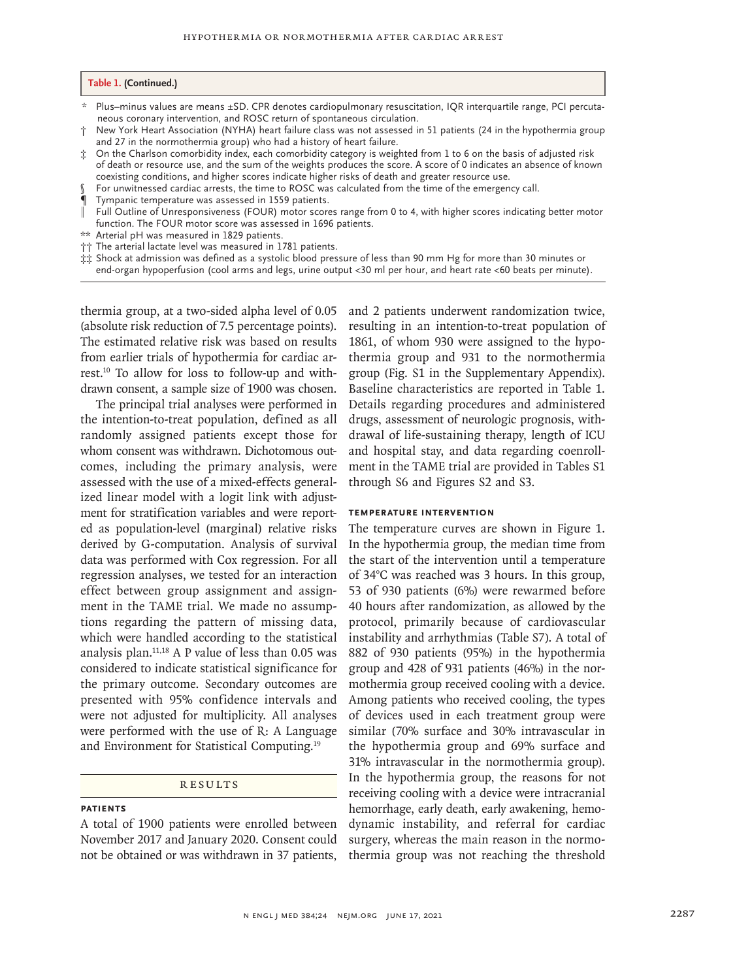#### **Table 1. (Continued.)**

- \* Plus–minus values are means ±SD. CPR denotes cardiopulmonary resuscitation, IQR interquartile range, PCI percuta‑ neous coronary intervention, and ROSC return of spontaneous circulation.
- † New York Heart Association (NYHA) heart failure class was not assessed in 51 patients (24 in the hypothermia group and 27 in the normothermia group) who had a history of heart failure.
- On the Charlson comorbidity index, each comorbidity category is weighted from 1 to 6 on the basis of adjusted risk of death or resource use, and the sum of the weights produces the score. A score of 0 indicates an absence of known coexisting conditions, and higher scores indicate higher risks of death and greater resource use.
- For unwitnessed cardiac arrests, the time to ROSC was calculated from the time of the emergency call.
- ¶ Tympanic temperature was assessed in 1559 patients.
- ‖ Full Outline of Unresponsiveness (FOUR) motor scores range from 0 to 4, with higher scores indicating better motor function. The FOUR motor score was assessed in 1696 patients.
- \*\* Arterial pH was measured in 1829 patients.
- †† The arterial lactate level was measured in 1781 patients.
- $\dot{\ddot{x}}\dot{\ddot{x}}$  Shock at admission was defined as a systolic blood pressure of less than 90 mm Hg for more than 30 minutes or end-organ hypoperfusion (cool arms and legs, urine output <30 ml per hour, and heart rate <60 beats per minute).

thermia group, at a two-sided alpha level of 0.05 (absolute risk reduction of 7.5 percentage points). The estimated relative risk was based on results from earlier trials of hypothermia for cardiac arrest.10 To allow for loss to follow-up and withdrawn consent, a sample size of 1900 was chosen.

The principal trial analyses were performed in the intention-to-treat population, defined as all randomly assigned patients except those for whom consent was withdrawn. Dichotomous outcomes, including the primary analysis, were assessed with the use of a mixed-effects generalized linear model with a logit link with adjustment for stratification variables and were reported as population-level (marginal) relative risks derived by G-computation. Analysis of survival data was performed with Cox regression. For all regression analyses, we tested for an interaction effect between group assignment and assignment in the TAME trial. We made no assumptions regarding the pattern of missing data, which were handled according to the statistical analysis plan. $11,18$  A P value of less than 0.05 was considered to indicate statistical significance for the primary outcome. Secondary outcomes are presented with 95% confidence intervals and were not adjusted for multiplicity. All analyses were performed with the use of R: A Language and Environment for Statistical Computing.19

#### **RESULTS**

#### **Patients**

A total of 1900 patients were enrolled between November 2017 and January 2020. Consent could not be obtained or was withdrawn in 37 patients,

and 2 patients underwent randomization twice, resulting in an intention-to-treat population of 1861, of whom 930 were assigned to the hypothermia group and 931 to the normothermia group (Fig. S1 in the Supplementary Appendix). Baseline characteristics are reported in Table 1. Details regarding procedures and administered drugs, assessment of neurologic prognosis, withdrawal of life-sustaining therapy, length of ICU and hospital stay, and data regarding coenrollment in the TAME trial are provided in Tables S1 through S6 and Figures S2 and S3.

#### **Temperature Intervention**

The temperature curves are shown in Figure 1. In the hypothermia group, the median time from the start of the intervention until a temperature of 34°C was reached was 3 hours. In this group, 53 of 930 patients (6%) were rewarmed before 40 hours after randomization, as allowed by the protocol, primarily because of cardiovascular instability and arrhythmias (Table S7). A total of 882 of 930 patients (95%) in the hypothermia group and 428 of 931 patients (46%) in the normothermia group received cooling with a device. Among patients who received cooling, the types of devices used in each treatment group were similar (70% surface and 30% intravascular in the hypothermia group and 69% surface and 31% intravascular in the normothermia group). In the hypothermia group, the reasons for not receiving cooling with a device were intracranial hemorrhage, early death, early awakening, hemodynamic instability, and referral for cardiac surgery, whereas the main reason in the normothermia group was not reaching the threshold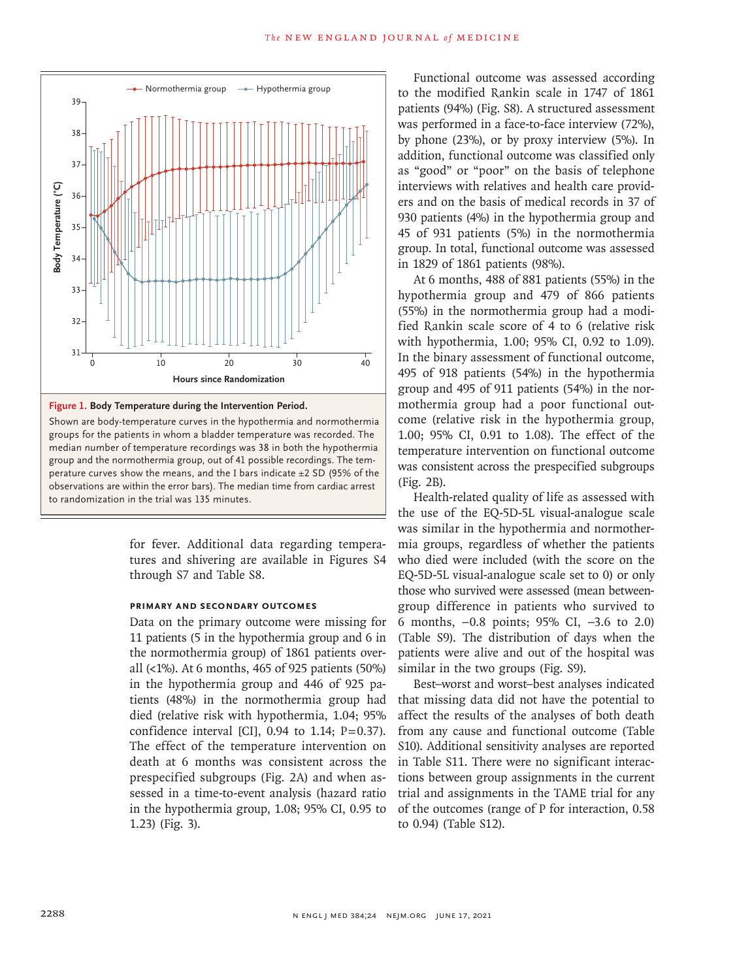

**Figure 1. Body Temperature during the Intervention Period.**

Shown are body-temperature curves in the hypothermia and normothermia groups for the patients in whom a bladder temperature was recorded. The median number of temperature recordings was 38 in both the hypothermia group and the normothermia group, out of 41 possible recordings. The temperature curves show the means, and the I bars indicate  $\pm 2$  SD (95% of the observations are within the error bars). The median time from cardiac arrest

> for fever. Additional data regarding temperatures and shivering are available in Figures S4 through S7 and Table S8.

#### **Primary and Secondary Outcomes**

Data on the primary outcome were missing for 11 patients (5 in the hypothermia group and 6 in the normothermia group) of 1861 patients overall (<1%). At 6 months, 465 of 925 patients (50%) in the hypothermia group and 446 of 925 patients (48%) in the normothermia group had died (relative risk with hypothermia, 1.04; 95% confidence interval [CI],  $0.94$  to 1.14;  $P=0.37$ ). The effect of the temperature intervention on death at 6 months was consistent across the prespecified subgroups (Fig. 2A) and when assessed in a time-to-event analysis (hazard ratio in the hypothermia group, 1.08; 95% CI, 0.95 to 1.23) (Fig. 3).

Functional outcome was assessed according to the modified Rankin scale in 1747 of 1861 patients (94%) (Fig. S8). A structured assessment was performed in a face-to-face interview (72%), by phone (23%), or by proxy interview (5%). In addition, functional outcome was classified only as "good" or "poor" on the basis of telephone interviews with relatives and health care providers and on the basis of medical records in 37 of 930 patients (4%) in the hypothermia group and 45 of 931 patients (5%) in the normothermia group. In total, functional outcome was assessed in 1829 of 1861 patients (98%).

At 6 months, 488 of 881 patients (55%) in the hypothermia group and 479 of 866 patients (55%) in the normothermia group had a modified Rankin scale score of 4 to 6 (relative risk with hypothermia, 1.00; 95% CI, 0.92 to 1.09). In the binary assessment of functional outcome, 495 of 918 patients (54%) in the hypothermia group and 495 of 911 patients (54%) in the normothermia group had a poor functional outcome (relative risk in the hypothermia group, 1.00; 95% CI, 0.91 to 1.08). The effect of the temperature intervention on functional outcome was consistent across the prespecified subgroups (Fig. 2B).

Health-related quality of life as assessed with the use of the EQ-5D-5L visual-analogue scale was similar in the hypothermia and normothermia groups, regardless of whether the patients who died were included (with the score on the EQ-5D-5L visual-analogue scale set to 0) or only those who survived were assessed (mean betweengroup difference in patients who survived to 6 months, −0.8 points; 95% CI, −3.6 to 2.0) (Table S9). The distribution of days when the patients were alive and out of the hospital was similar in the two groups (Fig. S9).

Best–worst and worst–best analyses indicated that missing data did not have the potential to affect the results of the analyses of both death from any cause and functional outcome (Table S10). Additional sensitivity analyses are reported in Table S11. There were no significant interactions between group assignments in the current trial and assignments in the TAME trial for any of the outcomes (range of P for interaction, 0.58 to 0.94) (Table S12).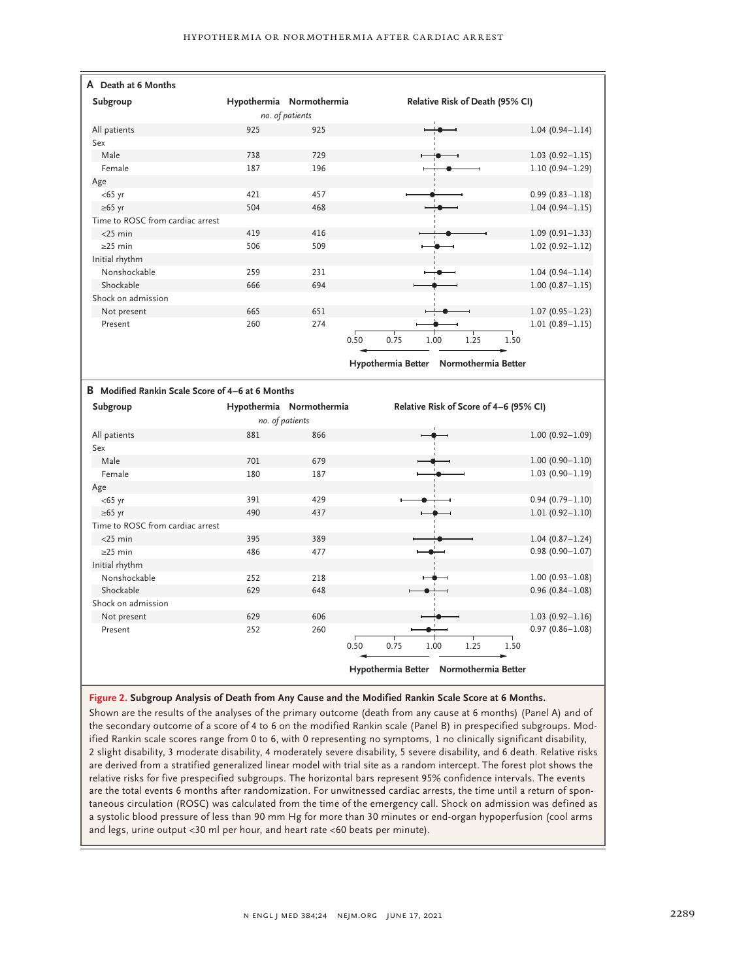| A Death at 6 Months                              |                          |      |                                        |                     |
|--------------------------------------------------|--------------------------|------|----------------------------------------|---------------------|
| Subgroup                                         | Hypothermia Normothermia |      | Relative Risk of Death (95% CI)        |                     |
|                                                  | no. of patients          |      |                                        |                     |
| All patients                                     | 925                      | 925  |                                        | $1.04(0.94 - 1.14)$ |
| Sex                                              |                          |      |                                        |                     |
| Male                                             | 738                      | 729  |                                        | $1.03(0.92 - 1.15)$ |
| Female                                           | 187                      | 196  |                                        | $1.10(0.94 - 1.29)$ |
| Age                                              |                          |      |                                        |                     |
| $<$ 65 yr                                        | 421                      | 457  |                                        | $0.99(0.83 - 1.18)$ |
| $\geq 65$ yr                                     | 504                      | 468  |                                        | $1.04(0.94 - 1.15)$ |
| Time to ROSC from cardiac arrest                 |                          |      |                                        |                     |
| $<$ 25 min                                       | 419                      | 416  |                                        | $1.09(0.91 - 1.33)$ |
| $\geq$ 25 min                                    | 506                      | 509  |                                        | $1.02(0.92 - 1.12)$ |
| Initial rhythm                                   |                          |      |                                        |                     |
| Nonshockable                                     | 259                      | 231  |                                        | $1.04(0.94 - 1.14)$ |
| Shockable                                        | 666                      | 694  |                                        | $1.00(0.87 - 1.15)$ |
| Shock on admission                               |                          |      |                                        |                     |
| Not present                                      | 665                      | 651  |                                        | $1.07(0.95 - 1.23)$ |
| Present                                          | 260                      | 274  |                                        | $1.01(0.89 - 1.15)$ |
|                                                  |                          | 0.50 | 0.75<br>1.00<br>1.25                   | 1.50                |
|                                                  |                          |      |                                        |                     |
|                                                  |                          |      | Hypothermia Better Normothermia Better |                     |
|                                                  |                          |      |                                        |                     |
|                                                  |                          |      |                                        |                     |
| B Modified Rankin Scale Score of 4-6 at 6 Months |                          |      |                                        |                     |
| Subgroup                                         | Hypothermia Normothermia |      | Relative Risk of Score of 4-6 (95% CI) |                     |
|                                                  | no. of patients          |      |                                        |                     |
| All patients                                     | 881                      | 866  |                                        | $1.00(0.92 - 1.09)$ |
| Sex                                              |                          |      |                                        |                     |
| Male                                             | 701                      | 679  |                                        | $1.00(0.90 - 1.10)$ |
| Female                                           | 180                      | 187  |                                        | $1.03(0.90 - 1.19)$ |
| Age                                              |                          |      |                                        |                     |
| $<$ 65 yr                                        | 391                      | 429  |                                        | $0.94(0.79 - 1.10)$ |
| $\geq 65$ yr                                     | 490                      | 437  |                                        | $1.01(0.92 - 1.10)$ |
| Time to ROSC from cardiac arrest                 |                          |      |                                        |                     |
| $<$ 25 min                                       | 395                      | 389  |                                        | $1.04(0.87 - 1.24)$ |
| $\geq$ 25 min                                    | 486                      | 477  |                                        | $0.98(0.90 - 1.07)$ |
| Initial rhythm                                   |                          |      |                                        |                     |
| Nonshockable                                     | 252                      | 218  |                                        | $1.00(0.93 - 1.08)$ |
| Shockable                                        | 629                      | 648  |                                        | $0.96(0.84 - 1.08)$ |
| Shock on admission                               |                          |      |                                        |                     |
| Not present                                      | 629                      | 606  |                                        | $1.03(0.92 - 1.16)$ |
| Present                                          | 252                      | 260  |                                        | $0.97(0.86 - 1.08)$ |
|                                                  |                          | 0.50 | 0.75<br>1.25<br>1.00                   | 1.50                |

**Figure 2. Subgroup Analysis of Death from Any Cause and the Modified Rankin Scale Score at 6 Months.**

Shown are the results of the analyses of the primary outcome (death from any cause at 6 months) (Panel A) and of the secondary outcome of a score of 4 to 6 on the modified Rankin scale (Panel B) in prespecified subgroups. Modified Rankin scale scores range from 0 to 6, with 0 representing no symptoms, 1 no clinically significant disability, 2 slight disability, 3 moderate disability, 4 moderately severe disability, 5 severe disability, and 6 death. Relative risks are derived from a stratified generalized linear model with trial site as a random intercept. The forest plot shows the relative risks for five prespecified subgroups. The horizontal bars represent 95% confidence intervals. The events are the total events 6 months after randomization. For unwitnessed cardiac arrests, the time until a return of spontaneous circulation (ROSC) was calculated from the time of the emergency call. Shock on admission was defined as a systolic blood pressure of less than 90 mm Hg for more than 30 minutes or end-organ hypoperfusion (cool arms and legs, urine output <30 ml per hour, and heart rate <60 beats per minute).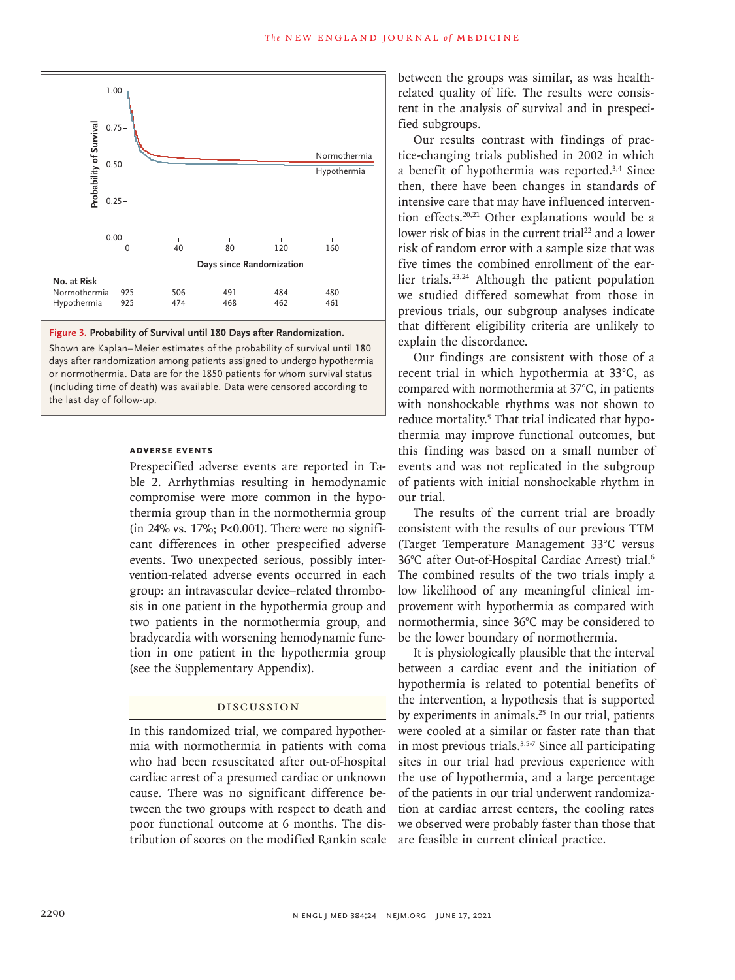



Shown are Kaplan–Meier estimates of the probability of survival until 180 days after randomization among patients assigned to undergo hypothermia or normothermia. Data are for the 1850 patients for whom survival status (including time of death) was available. Data were censored according to

#### **Adverse Events**

Prespecified adverse events are reported in Table 2. Arrhythmias resulting in hemodynamic compromise were more common in the hypothermia group than in the normothermia group  $(in 24\% vs. 17\%; P<0.001)$ . There were no significant differences in other prespecified adverse events. Two unexpected serious, possibly intervention-related adverse events occurred in each group: an intravascular device–related thrombosis in one patient in the hypothermia group and two patients in the normothermia group, and bradycardia with worsening hemodynamic function in one patient in the hypothermia group (see the Supplementary Appendix).

# Discussion

In this randomized trial, we compared hypothermia with normothermia in patients with coma who had been resuscitated after out-of-hospital cardiac arrest of a presumed cardiac or unknown cause. There was no significant difference between the two groups with respect to death and poor functional outcome at 6 months. The distribution of scores on the modified Rankin scale are feasible in current clinical practice.

between the groups was similar, as was healthrelated quality of life. The results were consistent in the analysis of survival and in prespecified subgroups.

Our results contrast with findings of practice-changing trials published in 2002 in which a benefit of hypothermia was reported.3,4 Since then, there have been changes in standards of intensive care that may have influenced intervention effects.20,21 Other explanations would be a lower risk of bias in the current trial<sup>22</sup> and a lower risk of random error with a sample size that was five times the combined enrollment of the earlier trials.23,24 Although the patient population we studied differed somewhat from those in previous trials, our subgroup analyses indicate that different eligibility criteria are unlikely to explain the discordance.

Our findings are consistent with those of a recent trial in which hypothermia at 33°C, as compared with normothermia at 37°C, in patients with nonshockable rhythms was not shown to reduce mortality.<sup>5</sup> That trial indicated that hypothermia may improve functional outcomes, but this finding was based on a small number of events and was not replicated in the subgroup of patients with initial nonshockable rhythm in our trial.

The results of the current trial are broadly consistent with the results of our previous TTM (Target Temperature Management 33°C versus 36°C after Out-of-Hospital Cardiac Arrest) trial.6 The combined results of the two trials imply a low likelihood of any meaningful clinical improvement with hypothermia as compared with normothermia, since 36°C may be considered to be the lower boundary of normothermia.

It is physiologically plausible that the interval between a cardiac event and the initiation of hypothermia is related to potential benefits of the intervention, a hypothesis that is supported by experiments in animals.<sup>25</sup> In our trial, patients were cooled at a similar or faster rate than that in most previous trials.3,5-7 Since all participating sites in our trial had previous experience with the use of hypothermia, and a large percentage of the patients in our trial underwent randomization at cardiac arrest centers, the cooling rates we observed were probably faster than those that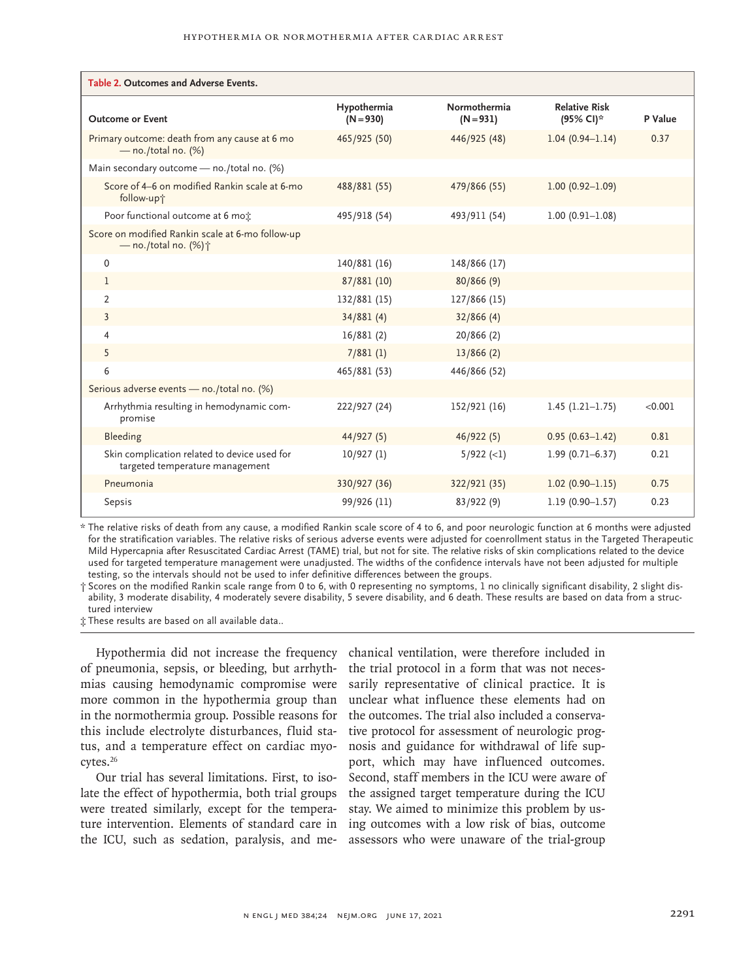| Table 2. Outcomes and Adverse Events.                                               |                            |                             |                                   |         |  |  |  |  |
|-------------------------------------------------------------------------------------|----------------------------|-----------------------------|-----------------------------------|---------|--|--|--|--|
| <b>Outcome or Event</b>                                                             | Hypothermia<br>$(N = 930)$ | Normothermia<br>$(N = 931)$ | <b>Relative Risk</b><br>(95% CI)* | P Value |  |  |  |  |
| Primary outcome: death from any cause at 6 mo<br>$-$ no./total no. (%)              | 465/925 (50)               | 446/925 (48)                | $1.04(0.94 - 1.14)$               | 0.37    |  |  |  |  |
| Main secondary outcome - no./total no. (%)                                          |                            |                             |                                   |         |  |  |  |  |
| Score of 4–6 on modified Rankin scale at 6-mo<br>follow-up+                         | 488/881 (55)               | 479/866 (55)                | $1.00(0.92 - 1.09)$               |         |  |  |  |  |
| Poor functional outcome at 6 mo:                                                    | 495/918 (54)               | 493/911 (54)                | $1.00(0.91 - 1.08)$               |         |  |  |  |  |
| Score on modified Rankin scale at 6-mo follow-up<br>$-$ no./total no. (%) $\dagger$ |                            |                             |                                   |         |  |  |  |  |
| $\Omega$                                                                            | 140/881 (16)               | 148/866 (17)                |                                   |         |  |  |  |  |
| 1                                                                                   | 87/881 (10)                | 80/866(9)                   |                                   |         |  |  |  |  |
| 2                                                                                   | 132/881 (15)               | 127/866 (15)                |                                   |         |  |  |  |  |
| 3                                                                                   | 34/881(4)                  | 32/866(4)                   |                                   |         |  |  |  |  |
| 4                                                                                   | 16/881 (2)                 | 20/866 (2)                  |                                   |         |  |  |  |  |
| 5                                                                                   | 7/881(1)                   | 13/866(2)                   |                                   |         |  |  |  |  |
| 6                                                                                   | 465/881 (53)               | 446/866 (52)                |                                   |         |  |  |  |  |
| Serious adverse events - no./total no. (%)                                          |                            |                             |                                   |         |  |  |  |  |
| Arrhythmia resulting in hemodynamic com-<br>promise                                 | 222/927 (24)               | 152/921 (16)                | $1.45(1.21-1.75)$                 | < 0.001 |  |  |  |  |
| Bleeding                                                                            | 44/927(5)                  | 46/922(5)                   | $0.95(0.63 - 1.42)$               | 0.81    |  |  |  |  |
| Skin complication related to device used for<br>targeted temperature management     | 10/927(1)                  | $5/922$ (<1)                | $1.99(0.71 - 6.37)$               | 0.21    |  |  |  |  |
| Pneumonia                                                                           | 330/927 (36)               | 322/921 (35)                | $1.02(0.90 - 1.15)$               | 0.75    |  |  |  |  |
| Sepsis                                                                              | 99/926 (11)                | 83/922(9)                   | $1.19(0.90 - 1.57)$               | 0.23    |  |  |  |  |

\* The relative risks of death from any cause, a modified Rankin scale score of 4 to 6, and poor neurologic function at 6 months were adjusted for the stratification variables. The relative risks of serious adverse events were adjusted for coenrollment status in the Targeted Therapeutic Mild Hypercapnia after Resuscitated Cardiac Arrest (TAME) trial, but not for site. The relative risks of skin complications related to the device used for targeted temperature management were unadjusted. The widths of the confidence intervals have not been adjusted for multiple testing, so the intervals should not be used to infer definitive differences between the groups.

† Scores on the modified Rankin scale range from 0 to 6, with 0 representing no symptoms, 1 no clinically significant disability, 2 slight dis‑ ability, 3 moderate disability, 4 moderately severe disability, 5 severe disability, and 6 death. These results are based on data from a struc‑ tured interview

‡ These results are based on all available data..

of pneumonia, sepsis, or bleeding, but arrhyth-the trial protocol in a form that was not necesmias causing hemodynamic compromise were sarily representative of clinical practice. It is more common in the hypothermia group than unclear what influence these elements had on in the normothermia group. Possible reasons for the outcomes. The trial also included a conservathis include electrolyte disturbances, fluid status, and a temperature effect on cardiac myocytes.26

Our trial has several limitations. First, to isolate the effect of hypothermia, both trial groups were treated similarly, except for the temperature intervention. Elements of standard care in ing outcomes with a low risk of bias, outcome the ICU, such as sedation, paralysis, and me-assessors who were unaware of the trial-group

Hypothermia did not increase the frequency chanical ventilation, were therefore included in tive protocol for assessment of neurologic prognosis and guidance for withdrawal of life support, which may have influenced outcomes. Second, staff members in the ICU were aware of the assigned target temperature during the ICU stay. We aimed to minimize this problem by us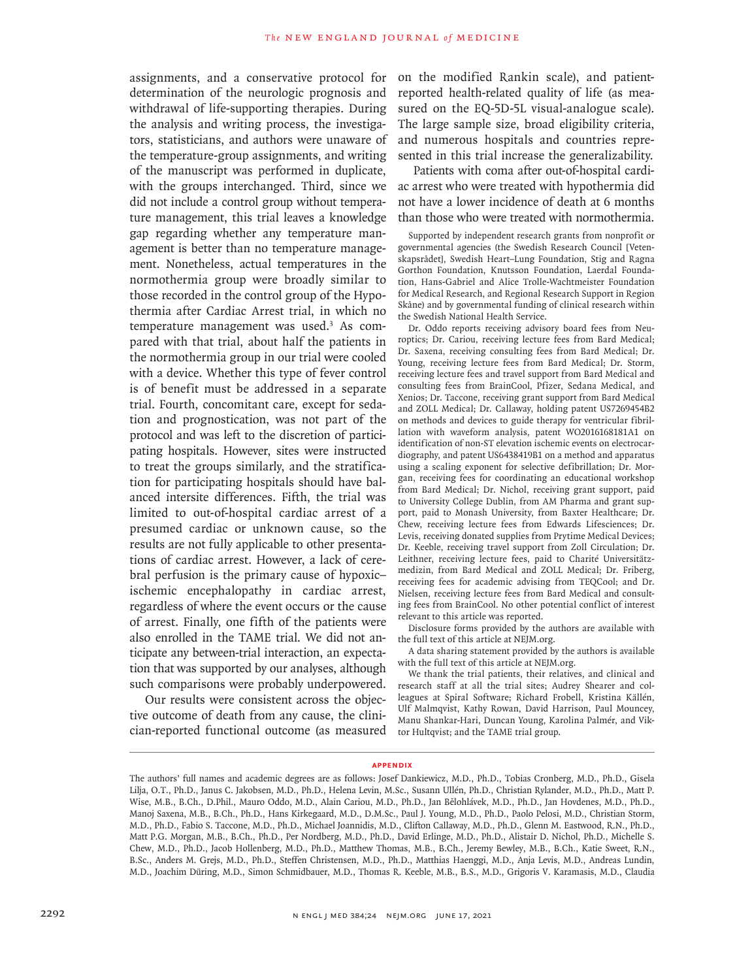assignments, and a conservative protocol for determination of the neurologic prognosis and withdrawal of life-supporting therapies. During the analysis and writing process, the investigators, statisticians, and authors were unaware of the temperature-group assignments, and writing of the manuscript was performed in duplicate, with the groups interchanged. Third, since we did not include a control group without temperature management, this trial leaves a knowledge gap regarding whether any temperature management is better than no temperature management. Nonetheless, actual temperatures in the normothermia group were broadly similar to those recorded in the control group of the Hypothermia after Cardiac Arrest trial, in which no temperature management was used.<sup>3</sup> As compared with that trial, about half the patients in the normothermia group in our trial were cooled with a device. Whether this type of fever control is of benefit must be addressed in a separate trial. Fourth, concomitant care, except for sedation and prognostication, was not part of the protocol and was left to the discretion of participating hospitals. However, sites were instructed to treat the groups similarly, and the stratification for participating hospitals should have balanced intersite differences. Fifth, the trial was limited to out-of-hospital cardiac arrest of a presumed cardiac or unknown cause, so the results are not fully applicable to other presentations of cardiac arrest. However, a lack of cerebral perfusion is the primary cause of hypoxic– ischemic encephalopathy in cardiac arrest, regardless of where the event occurs or the cause of arrest. Finally, one fifth of the patients were also enrolled in the TAME trial. We did not anticipate any between-trial interaction, an expectation that was supported by our analyses, although such comparisons were probably underpowered.

Our results were consistent across the objective outcome of death from any cause, the clinician-reported functional outcome (as measured on the modified Rankin scale), and patientreported health-related quality of life (as measured on the EQ-5D-5L visual-analogue scale). The large sample size, broad eligibility criteria, and numerous hospitals and countries represented in this trial increase the generalizability.

Patients with coma after out-of-hospital cardiac arrest who were treated with hypothermia did not have a lower incidence of death at 6 months than those who were treated with normothermia.

Supported by independent research grants from nonprofit or governmental agencies (the Swedish Research Council [Vetenskapsrådet], Swedish Heart–Lung Foundation, Stig and Ragna Gorthon Foundation, Knutsson Foundation, Laerdal Foundation, Hans-Gabriel and Alice Trolle-Wachtmeister Foundation for Medical Research, and Regional Research Support in Region Skåne) and by governmental funding of clinical research within the Swedish National Health Service.

Dr. Oddo reports receiving advisory board fees from Neuroptics; Dr. Cariou, receiving lecture fees from Bard Medical; Dr. Saxena, receiving consulting fees from Bard Medical; Dr. Young, receiving lecture fees from Bard Medical; Dr. Storm, receiving lecture fees and travel support from Bard Medical and consulting fees from BrainCool, Pfizer, Sedana Medical, and Xenios; Dr. Taccone, receiving grant support from Bard Medical and ZOLL Medical; Dr. Callaway, holding patent US7269454B2 on methods and devices to guide therapy for ventricular fibrillation with waveform analysis, patent WO2016168181A1 on identification of non-ST elevation ischemic events on electrocardiography, and patent US6438419B1 on a method and apparatus using a scaling exponent for selective defibrillation; Dr. Morgan, receiving fees for coordinating an educational workshop from Bard Medical; Dr. Nichol, receiving grant support, paid to University College Dublin, from AM Pharma and grant support, paid to Monash University, from Baxter Healthcare; Dr. Chew, receiving lecture fees from Edwards Lifesciences; Dr. Levis, receiving donated supplies from Prytime Medical Devices; Dr. Keeble, receiving travel support from Zoll Circulation; Dr. Leithner, receiving lecture fees, paid to Charité Universitätzmedizin, from Bard Medical and ZOLL Medical; Dr. Friberg, receiving fees for academic advising from TEQCool; and Dr. Nielsen, receiving lecture fees from Bard Medical and consulting fees from BrainCool. No other potential conflict of interest relevant to this article was reported.

Disclosure forms provided by the authors are available with the full text of this article at NEJM.org.

A data sharing statement provided by the authors is available with the full text of this article at NEJM.org.

We thank the trial patients, their relatives, and clinical and research staff at all the trial sites; Audrey Shearer and colleagues at Spiral Software; Richard Frobell, Kristina Källén, Ulf Malmqvist, Kathy Rowan, David Harrison, Paul Mouncey, Manu Shankar-Hari, Duncan Young, Karolina Palmér, and Viktor Hultqvist; and the TAME trial group.

#### **Appendix**

The authors' full names and academic degrees are as follows: Josef Dankiewicz, M.D., Ph.D., Tobias Cronberg, M.D., Ph.D., Gisela Lilja, O.T., Ph.D., Janus C. Jakobsen, M.D., Ph.D., Helena Levin, M.Sc., Susann Ullén, Ph.D., Christian Rylander, M.D., Ph.D., Matt P. Wise, M.B., B.Ch., D.Phil., Mauro Oddo, M.D., Alain Cariou, M.D., Ph.D., Jan Bělohlávek, M.D., Ph.D., Jan Hovdenes, M.D., Ph.D., Manoj Saxena, M.B., B.Ch., Ph.D., Hans Kirkegaard, M.D., D.M.Sc., Paul J. Young, M.D., Ph.D., Paolo Pelosi, M.D., Christian Storm, M.D., Ph.D., Fabio S. Taccone, M.D., Ph.D., Michael Joannidis, M.D., Clifton Callaway, M.D., Ph.D., Glenn M. Eastwood, R.N., Ph.D., Matt P.G. Morgan, M.B., B.Ch., Ph.D., Per Nordberg, M.D., Ph.D., David Erlinge, M.D., Ph.D., Alistair D. Nichol, Ph.D., Michelle S. Chew, M.D., Ph.D., Jacob Hollenberg, M.D., Ph.D., Matthew Thomas, M.B., B.Ch., Jeremy Bewley, M.B., B.Ch., Katie Sweet, R.N., B.Sc., Anders M. Grejs, M.D., Ph.D., Steffen Christensen, M.D., Ph.D., Matthias Haenggi, M.D., Anja Levis, M.D., Andreas Lundin, M.D., Joachim Düring, M.D., Simon Schmidbauer, M.D., Thomas R. Keeble, M.B., B.S., M.D., Grigoris V. Karamasis, M.D., Claudia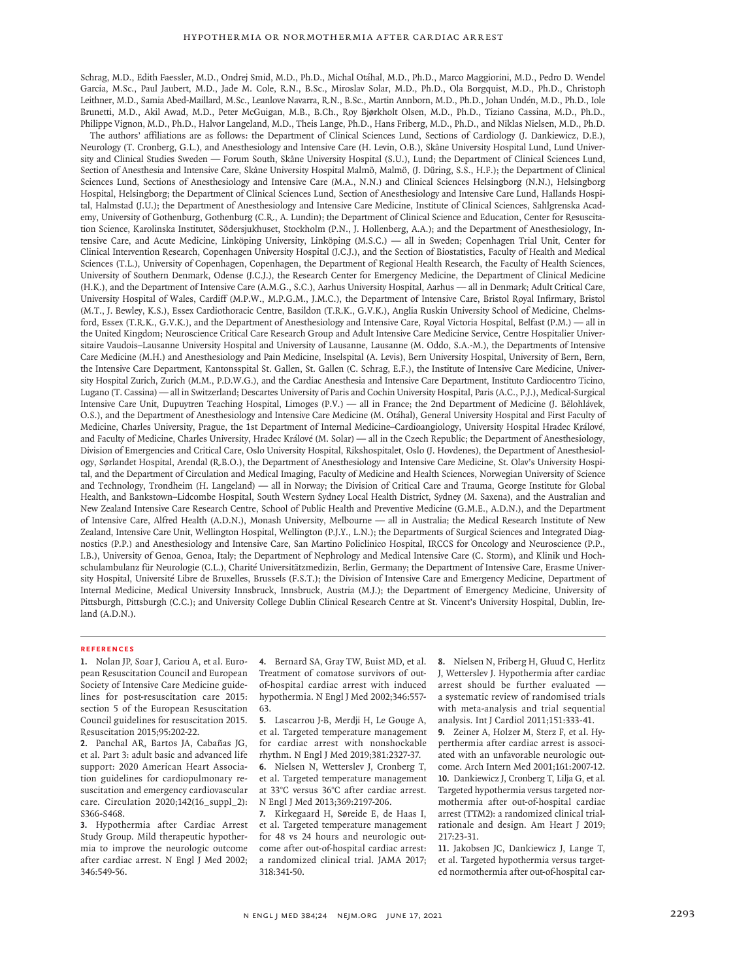Schrag, M.D., Edith Faessler, M.D., Ondrej Smid, M.D., Ph.D., Michal Otáhal, M.D., Ph.D., Marco Maggiorini, M.D., Pedro D. Wendel Garcia, M.Sc., Paul Jaubert, M.D., Jade M. Cole, R.N., B.Sc., Miroslav Solar, M.D., Ph.D., Ola Borgquist, M.D., Ph.D., Christoph Leithner, M.D., Samia Abed-Maillard, M.Sc., Leanlove Navarra, R.N., B.Sc., Martin Annborn, M.D., Ph.D., Johan Undén, M.D., Ph.D., Iole Brunetti, M.D., Akil Awad, M.D., Peter McGuigan, M.B., B.Ch., Roy Bjørkholt Olsen, M.D., Ph.D., Tiziano Cassina, M.D., Ph.D., Philippe Vignon, M.D., Ph.D., Halvor Langeland, M.D., Theis Lange, Ph.D., Hans Friberg, M.D., Ph.D., and Niklas Nielsen, M.D., Ph.D.

The authors' affiliations are as follows: the Department of Clinical Sciences Lund, Sections of Cardiology (J. Dankiewicz, D.E.), Neurology (T. Cronberg, G.L.), and Anesthesiology and Intensive Care (H. Levin, O.B.), Skåne University Hospital Lund, Lund University and Clinical Studies Sweden — Forum South, Skåne University Hospital (S.U.), Lund; the Department of Clinical Sciences Lund, Section of Anesthesia and Intensive Care, Skåne University Hospital Malmö, Malmö, (J. Düring, S.S., H.F.); the Department of Clinical Sciences Lund, Sections of Anesthesiology and Intensive Care (M.A., N.N.) and Clinical Sciences Helsingborg (N.N.), Helsingborg Hospital, Helsingborg; the Department of Clinical Sciences Lund, Section of Anesthesiology and Intensive Care Lund, Hallands Hospital, Halmstad (J.U.); the Department of Anesthesiology and Intensive Care Medicine, Institute of Clinical Sciences, Sahlgrenska Academy, University of Gothenburg, Gothenburg (C.R., A. Lundin); the Department of Clinical Science and Education, Center for Resuscitation Science, Karolinska Institutet, Södersjukhuset, Stockholm (P.N., J. Hollenberg, A.A.); and the Department of Anesthesiology, Intensive Care, and Acute Medicine, Linköping University, Linköping (M.S.C.) — all in Sweden; Copenhagen Trial Unit, Center for Clinical Intervention Research, Copenhagen University Hospital (J.C.J.), and the Section of Biostatistics, Faculty of Health and Medical Sciences (T.L.), University of Copenhagen, Copenhagen, the Department of Regional Health Research, the Faculty of Health Sciences, University of Southern Denmark, Odense (J.C.J.), the Research Center for Emergency Medicine, the Department of Clinical Medicine (H.K.), and the Department of Intensive Care (A.M.G., S.C.), Aarhus University Hospital, Aarhus — all in Denmark; Adult Critical Care, University Hospital of Wales, Cardiff (M.P.W., M.P.G.M., J.M.C.), the Department of Intensive Care, Bristol Royal Infirmary, Bristol (M.T., J. Bewley, K.S.), Essex Cardiothoracic Centre, Basildon (T.R.K., G.V.K.), Anglia Ruskin University School of Medicine, Chelmsford, Essex (T.R.K., G.V.K.), and the Department of Anesthesiology and Intensive Care, Royal Victoria Hospital, Belfast (P.M.) — all in the United Kingdom; Neuroscience Critical Care Research Group and Adult Intensive Care Medicine Service, Centre Hospitalier Universitaire Vaudois–Lausanne University Hospital and University of Lausanne, Lausanne (M. Oddo, S.A.-M.), the Departments of Intensive Care Medicine (M.H.) and Anesthesiology and Pain Medicine, Inselspital (A. Levis), Bern University Hospital, University of Bern, Bern, the Intensive Care Department, Kantonsspital St. Gallen, St. Gallen (C. Schrag, E.F.), the Institute of Intensive Care Medicine, University Hospital Zurich, Zurich (M.M., P.D.W.G.), and the Cardiac Anesthesia and Intensive Care Department, Instituto Cardiocentro Ticino, Lugano (T. Cassina) — all in Switzerland; Descartes University of Paris and Cochin University Hospital, Paris (A.C., P.J.), Medical-Surgical Intensive Care Unit, Dupuytren Teaching Hospital, Limoges (P.V.) — all in France; the 2nd Department of Medicine (J. Bělohlávek, O.S.), and the Department of Anesthesiology and Intensive Care Medicine (M. Otáhal), General University Hospital and First Faculty of Medicine, Charles University, Prague, the 1st Department of Internal Medicine–Cardioangiology, University Hospital Hradec Králové, and Faculty of Medicine, Charles University, Hradec Králové (M. Solar) — all in the Czech Republic; the Department of Anesthesiology, Division of Emergencies and Critical Care, Oslo University Hospital, Rikshospitalet, Oslo (J. Hovdenes), the Department of Anesthesiology, Sørlandet Hospital, Arendal (R.B.O.), the Department of Anesthesiology and Intensive Care Medicine, St. Olav's University Hospital, and the Department of Circulation and Medical Imaging, Faculty of Medicine and Health Sciences, Norwegian University of Science and Technology, Trondheim (H. Langeland) — all in Norway; the Division of Critical Care and Trauma, George Institute for Global Health, and Bankstown–Lidcombe Hospital, South Western Sydney Local Health District, Sydney (M. Saxena), and the Australian and New Zealand Intensive Care Research Centre, School of Public Health and Preventive Medicine (G.M.E., A.D.N.), and the Department of Intensive Care, Alfred Health (A.D.N.), Monash University, Melbourne — all in Australia; the Medical Research Institute of New Zealand, Intensive Care Unit, Wellington Hospital, Wellington (P.J.Y., L.N.); the Departments of Surgical Sciences and Integrated Diagnostics (P.P.) and Anesthesiology and Intensive Care, San Martino Policlinico Hospital, IRCCS for Oncology and Neuroscience (P.P., I.B.), University of Genoa, Genoa, Italy; the Department of Nephrology and Medical Intensive Care (C. Storm), and Klinik und Hochschulambulanz für Neurologie (C.L.), Charité Universitätzmedizin, Berlin, Germany; the Department of Intensive Care, Erasme University Hospital, Université Libre de Bruxelles, Brussels (F.S.T.); the Division of Intensive Care and Emergency Medicine, Department of Internal Medicine, Medical University Innsbruck, Innsbruck, Austria (M.J.); the Department of Emergency Medicine, University of Pittsburgh, Pittsburgh (C.C.); and University College Dublin Clinical Research Centre at St. Vincent's University Hospital, Dublin, Ireland (A.D.N.).

#### **References**

**1.** Nolan JP, Soar J, Cariou A, et al. European Resuscitation Council and European Society of Intensive Care Medicine guidelines for post-resuscitation care 2015: section 5 of the European Resuscitation Council guidelines for resuscitation 2015. Resuscitation 2015;95:202-22.

**2.** Panchal AR, Bartos JA, Cabañas JG, et al. Part 3: adult basic and advanced life support: 2020 American Heart Association guidelines for cardiopulmonary resuscitation and emergency cardiovascular care. Circulation 2020;142(16\_suppl\_2): S366-S468.

**3.** Hypothermia after Cardiac Arrest Study Group. Mild therapeutic hypothermia to improve the neurologic outcome after cardiac arrest. N Engl J Med 2002; 346:549-56.

**4.** Bernard SA, Gray TW, Buist MD, et al. Treatment of comatose survivors of outof-hospital cardiac arrest with induced hypothermia. N Engl J Med 2002;346:557- 63.

**5.** Lascarrou J-B, Merdji H, Le Gouge A, et al. Targeted temperature management for cardiac arrest with nonshockable rhythm. N Engl J Med 2019;381:2327-37. **6.** Nielsen N, Wetterslev J, Cronberg T, et al. Targeted temperature management at 33°C versus 36°C after cardiac arrest. N Engl J Med 2013;369:2197-206.

**7.** Kirkegaard H, Søreide E, de Haas I, et al. Targeted temperature management for 48 vs 24 hours and neurologic outcome after out-of-hospital cardiac arrest: a randomized clinical trial. JAMA 2017; 318:341-50.

**8.** Nielsen N, Friberg H, Gluud C, Herlitz J, Wetterslev J. Hypothermia after cardiac arrest should be further evaluated a systematic review of randomised trials with meta-analysis and trial sequential analysis. Int J Cardiol 2011;151:333-41.

**9.** Zeiner A, Holzer M, Sterz F, et al. Hyperthermia after cardiac arrest is associated with an unfavorable neurologic outcome. Arch Intern Med 2001;161:2007-12. **10.** Dankiewicz J, Cronberg T, Lilja G, et al. Targeted hypothermia versus targeted normothermia after out-of-hospital cardiac arrest (TTM2): a randomized clinical trialrationale and design. Am Heart J 2019; 217:23-31.

**11.** Jakobsen JC, Dankiewicz J, Lange T, et al. Targeted hypothermia versus targeted normothermia after out-of-hospital car